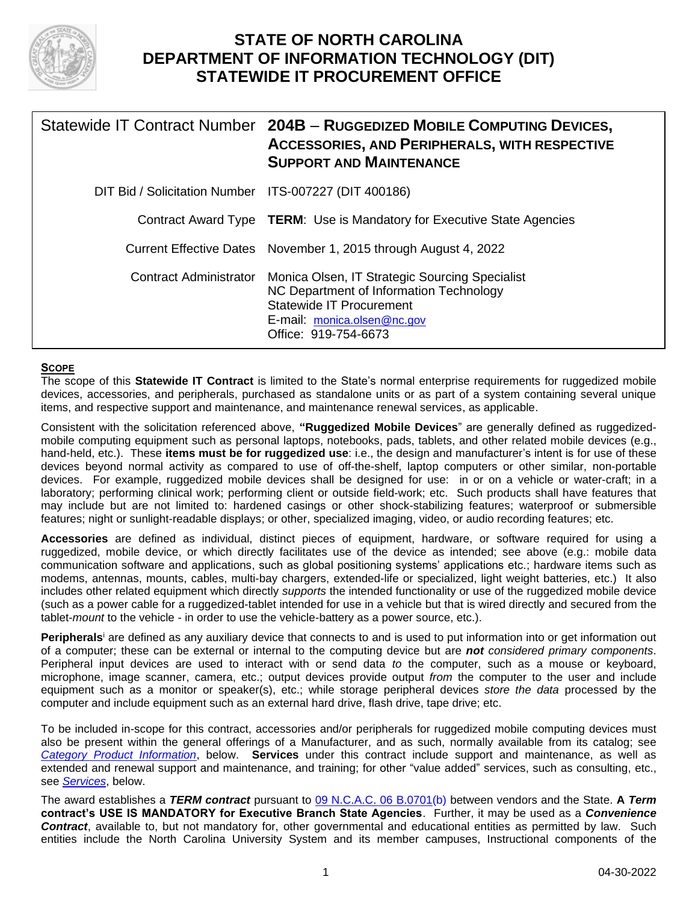

# **STATE OF NORTH CAROLINA DEPARTMENT OF INFORMATION TECHNOLOGY (DIT) STATEWIDE IT PROCUREMENT OFFICE**

|                                                       | Statewide IT Contract Number 204B - RUGGEDIZED MOBILE COMPUTING DEVICES,<br><b>ACCESSORIES, AND PERIPHERALS, WITH RESPECTIVE</b><br><b>SUPPORT AND MAINTENANCE</b>                  |
|-------------------------------------------------------|-------------------------------------------------------------------------------------------------------------------------------------------------------------------------------------|
| DIT Bid / Solicitation Number ITS-007227 (DIT 400186) |                                                                                                                                                                                     |
|                                                       | Contract Award Type <b>TERM</b> : Use is Mandatory for Executive State Agencies                                                                                                     |
|                                                       | Current Effective Dates November 1, 2015 through August 4, 2022                                                                                                                     |
| <b>Contract Administrator</b>                         | Monica Olsen, IT Strategic Sourcing Specialist<br>NC Department of Information Technology<br><b>Statewide IT Procurement</b><br>E-mail: monica.olsen@nc.gov<br>Office: 919-754-6673 |

### <span id="page-0-0"></span>**SCOPE**

The scope of this **Statewide IT Contract** is limited to the State's normal enterprise requirements for ruggedized mobile devices, accessories, and peripherals, purchased as standalone units or as part of a system containing several unique items, and respective support and maintenance, and maintenance renewal services, as applicable.

Consistent with the solicitation referenced above, **"Ruggedized Mobile Devices**" are generally defined as ruggedizedmobile computing equipment such as personal laptops, notebooks, pads, tablets, and other related mobile devices (e.g., hand-held, etc.). These **items must be for ruggedized use**: i.e., the design and manufacturer's intent is for use of these devices beyond normal activity as compared to use of off-the-shelf, laptop computers or other similar, non-portable devices. For example, ruggedized mobile devices shall be designed for use: in or on a vehicle or water-craft; in a laboratory; performing clinical work; performing client or outside field-work; etc. Such products shall have features that may include but are not limited to: hardened casings or other shock-stabilizing features; waterproof or submersible features; night or sunlight-readable displays; or other, specialized imaging, video, or audio recording features; etc.

**Accessories** are defined as individual, distinct pieces of equipment, hardware, or software required for using a ruggedized, mobile device, or which directly facilitates use of the device as intended; see above (e.g.: mobile data communication software and applications, such as global positioning systems' applications etc.; hardware items such as modems, antennas, mounts, cables, multi-bay chargers, extended-life or specialized, light weight batteries, etc.) It also includes other related equipment which directly *supports* the intended functionality or use of the ruggedized mobile device (such as a power cable for a ruggedized-tablet intended for use in a vehicle but that is wired directly and secured from the tablet-*mount* to the vehicle - in order to use the vehicle-battery as a power source, etc.).

**Peripherals**<sup>i</sup> are defined as any auxiliary device that connects to and is used to put information into or get information out of a computer; these can be external or internal to the computing device but are *not considered primary components*. Peripheral input devices are used to interact with or send data *to* the computer, such as a mouse or keyboard, microphone, image scanner, camera, etc.; output devices provide output *from* the computer to the user and include equipment such as a monitor or speaker(s), etc.; while storage peripheral devices *store the data* processed by the computer and include equipment such as an external hard drive, flash drive, tape drive; etc.

To be included in-scope for this contract, accessories and/or peripherals for ruggedized mobile computing devices must also be present within the general offerings of a Manufacturer, and as such, normally available from its catalog; see *[Category Product Information](#page-8-0)*, below. **Services** under this contract include support and maintenance, as well as extended and renewal support and maintenance, and training; for other "value added" services, such as consulting, etc., see *Services*, below.

The award establishes a *TERM contract* pursuant to [09 N.C.A.C. 06 B.0701\(](http://reports.oah.state.nc.us/ncac/title%2009%20-%20governor%20and%20lt.%20governor/chapter%2006%20-%20office%20of%20information%20and%20technology%20services/subchapter%20b/09%20ncac%2006b%20.0701.pdf)b) between vendors and the State. **A** *Term*  **contract's USE IS MANDATORY for Executive Branch State Agencies**. Further, it may be used as a *Convenience Contract*, available to, but not mandatory for, other governmental and educational entities as permitted by law. Such entities include the North Carolina University System and its member campuses, Instructional components of the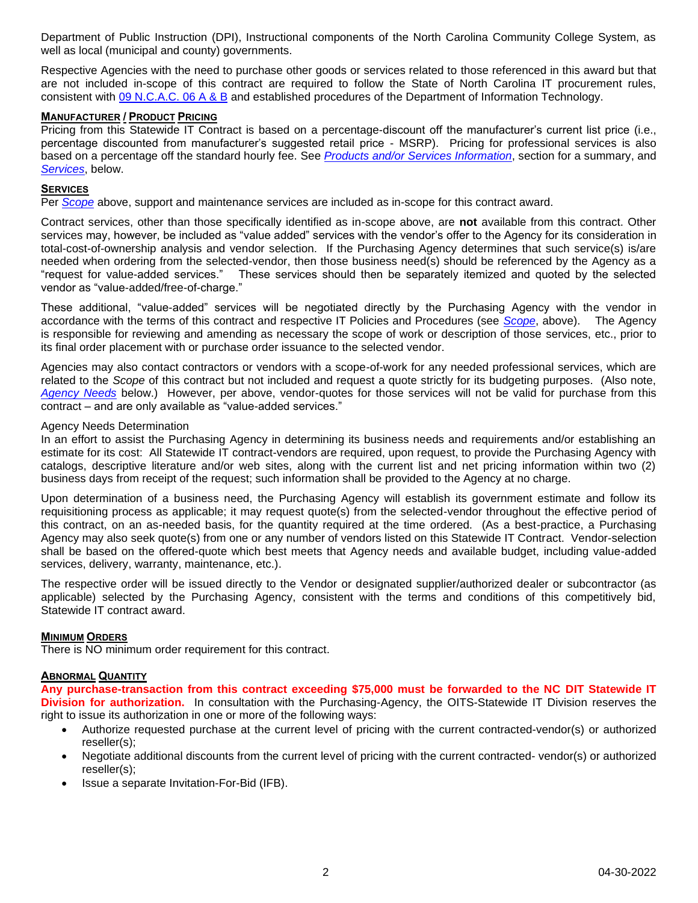Department of Public Instruction (DPI), Instructional components of the North Carolina Community College System, as well as local (municipal and county) governments.

Respective Agencies with the need to purchase other goods or services related to those referenced in this award but that are not included in-scope of this contract are required to follow the State of North Carolina IT procurement rules, consistent with [09 N.C.A.C. 06 A](http://reports.oah.state.nc.us/ncac.asp?folderName=/Title%2009%20-%20Governor%20and%20Lt.%20Governor/Chapter%2006%20-%20Office%20of%20Information%20and%20Technology%20Services) & B and established procedures of the Department of Information Technology.

#### **MANUFACTURER / PRODUCT PRICING**

Pricing from this Statewide IT Contract is based on a percentage-discount off the manufacturer's current list price (i.e., percentage discounted from manufacturer's suggested retail price - MSRP). Pricing for professional services is also based on a percentage off the standard hourly fee. See *[Products and/or Services Information](#page-8-0)*, section for a summary, and *Services*, below.

#### **SERVICES**

Per *[Scope](#page-0-0)* above, support and maintenance services are included as in-scope for this contract award.

Contract services, other than those specifically identified as in-scope above, are **not** available from this contract. Other services may, however, be included as "value added" services with the vendor's offer to the Agency for its consideration in total-cost-of-ownership analysis and vendor selection. If the Purchasing Agency determines that such service(s) is/are needed when ordering from the selected-vendor, then those business need(s) should be referenced by the Agency as a "request for value-added services." These services should then be separately itemized and quoted by the selected vendor as "value-added/free-of-charge."

These additional, "value-added" services will be negotiated directly by the Purchasing Agency with the vendor in accordance with the terms of this contract and respective IT Policies and Procedures (see *[Scope](#page-0-0)*, above). The Agency is responsible for reviewing and amending as necessary the scope of work or description of those services, etc., prior to its final order placement with or purchase order issuance to the selected vendor.

Agencies may also contact contractors or vendors with a scope-of-work for any needed professional services, which are related to the *Scope* of this contract but not included and request a quote strictly for its budgeting purposes. (Also note, *[Agency Needs](#page-1-0)* below.) However, per above, vendor-quotes for those services will not be valid for purchase from this contract – and are only available as "value-added services."

#### <span id="page-1-0"></span>Agency Needs Determination

In an effort to assist the Purchasing Agency in determining its business needs and requirements and/or establishing an estimate for its cost: All Statewide IT contract-vendors are required, upon request, to provide the Purchasing Agency with catalogs, descriptive literature and/or web sites, along with the current list and net pricing information within two (2) business days from receipt of the request; such information shall be provided to the Agency at no charge.

Upon determination of a business need, the Purchasing Agency will establish its government estimate and follow its requisitioning process as applicable; it may request quote(s) from the selected-vendor throughout the effective period of this contract, on an as-needed basis, for the quantity required at the time ordered. (As a best-practice, a Purchasing Agency may also seek quote(s) from one or any number of vendors listed on this Statewide IT Contract. Vendor-selection shall be based on the offered-quote which best meets that Agency needs and available budget, including value-added services, delivery, warranty, maintenance, etc.).

The respective order will be issued directly to the Vendor or designated supplier/authorized dealer or subcontractor (as applicable) selected by the Purchasing Agency, consistent with the terms and conditions of this competitively bid, Statewide IT contract award.

#### **MINIMUM ORDERS**

There is NO minimum order requirement for this contract.

#### **ABNORMAL QUANTITY**

**Any purchase-transaction from this contract exceeding \$75,000 must be forwarded to the NC DIT Statewide IT Division for authorization.** In consultation with the Purchasing-Agency, the OITS-Statewide IT Division reserves the right to issue its authorization in one or more of the following ways:

- Authorize requested purchase at the current level of pricing with the current contracted-vendor(s) or authorized reseller(s);
- Negotiate additional discounts from the current level of pricing with the current contracted- vendor(s) or authorized reseller(s);
- Issue a separate Invitation-For-Bid (IFB).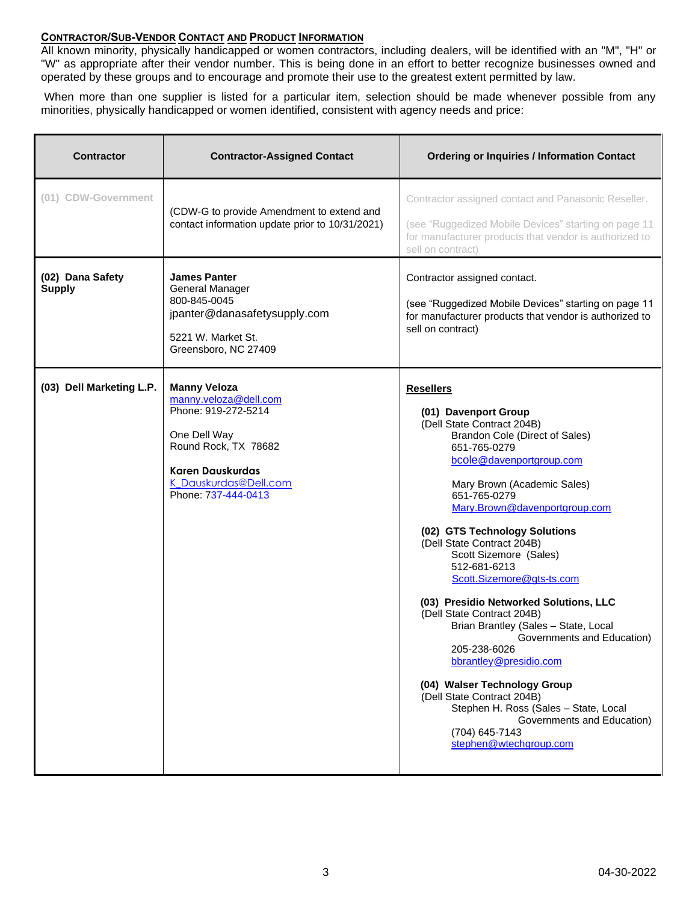### **CONTRACTOR/SUB-VENDOR CONTACT AND PRODUCT INFORMATION**

All known minority, physically handicapped or women contractors, including dealers, will be identified with an "M", "H" or "W" as appropriate after their vendor number. This is being done in an effort to better recognize businesses owned and operated by these groups and to encourage and promote their use to the greatest extent permitted by law.

When more than one supplier is listed for a particular item, selection should be made whenever possible from any minorities, physically handicapped or women identified, consistent with agency needs and price:

| <b>Contractor</b>                 | <b>Contractor-Assigned Contact</b>                                                                                                                                                     | <b>Ordering or Inquiries / Information Contact</b>                                                                                                                                                                                                                                                                                                                                                                                                                                                                                                                                                                                                                                                                                                  |
|-----------------------------------|----------------------------------------------------------------------------------------------------------------------------------------------------------------------------------------|-----------------------------------------------------------------------------------------------------------------------------------------------------------------------------------------------------------------------------------------------------------------------------------------------------------------------------------------------------------------------------------------------------------------------------------------------------------------------------------------------------------------------------------------------------------------------------------------------------------------------------------------------------------------------------------------------------------------------------------------------------|
| (01) CDW-Government               | (CDW-G to provide Amendment to extend and<br>contact information update prior to 10/31/2021)                                                                                           | Contractor assigned contact and Panasonic Reseller.<br>(see "Ruggedized Mobile Devices" starting on page 11<br>for manufacturer products that vendor is authorized to<br>sell on contract)                                                                                                                                                                                                                                                                                                                                                                                                                                                                                                                                                          |
| (02) Dana Safety<br><b>Supply</b> | <b>James Panter</b><br>General Manager<br>800-845-0045<br>jpanter@danasafetysupply.com<br>5221 W. Market St.<br>Greensboro, NC 27409                                                   | Contractor assigned contact.<br>(see "Ruggedized Mobile Devices" starting on page 11<br>for manufacturer products that vendor is authorized to<br>sell on contract)                                                                                                                                                                                                                                                                                                                                                                                                                                                                                                                                                                                 |
| (03) Dell Marketing L.P.          | <b>Manny Veloza</b><br>manny.veloza@dell.com<br>Phone: 919-272-5214<br>One Dell Way<br>Round Rock, TX 78682<br><b>Karen Dauskurdas</b><br>K Dauskurdas@Dell.com<br>Phone: 737-444-0413 | <b>Resellers</b><br>(01) Davenport Group<br>(Dell State Contract 204B)<br>Brandon Cole (Direct of Sales)<br>651-765-0279<br>bcole@davenportgroup.com<br>Mary Brown (Academic Sales)<br>651-765-0279<br>Mary.Brown@davenportgroup.com<br>(02) GTS Technology Solutions<br>(Dell State Contract 204B)<br>Scott Sizemore (Sales)<br>512-681-6213<br>Scott.Sizemore@gts-ts.com<br>(03) Presidio Networked Solutions, LLC<br>(Dell State Contract 204B)<br>Brian Brantley (Sales - State, Local<br>Governments and Education)<br>205-238-6026<br>bbrantley@presidio.com<br>(04) Walser Technology Group<br>(Dell State Contract 204B)<br>Stephen H. Ross (Sales - State, Local<br>Governments and Education)<br>(704) 645-7143<br>stephen@wtechgroup.com |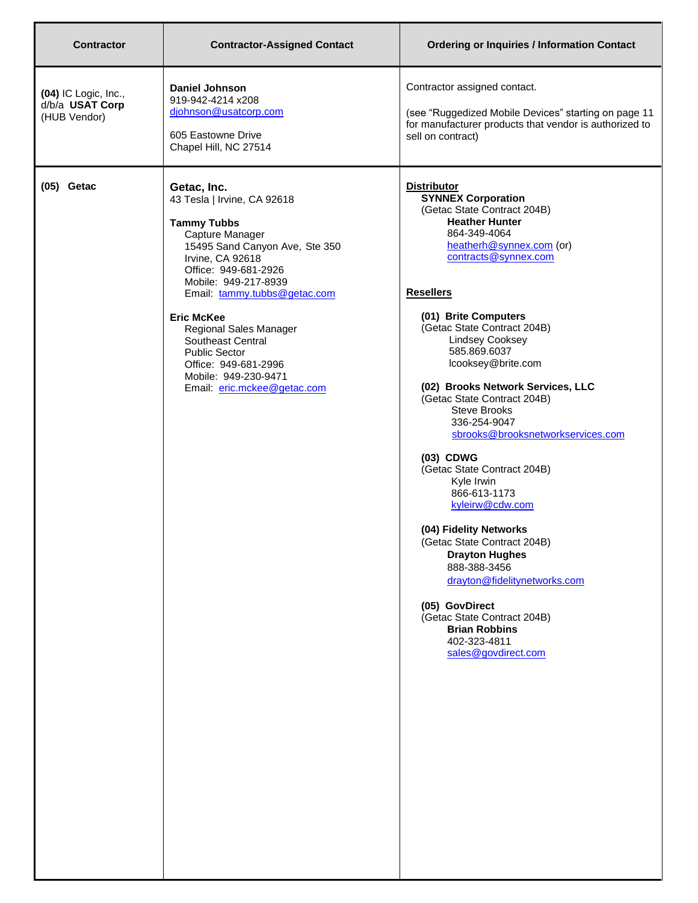| <b>Contractor</b>                                       | <b>Contractor-Assigned Contact</b>                                                                                                                                                                                                             | <b>Ordering or Inquiries / Information Contact</b>                                                                                                                                                                                                                                                                                                                                                                                                                                                                                                                                         |
|---------------------------------------------------------|------------------------------------------------------------------------------------------------------------------------------------------------------------------------------------------------------------------------------------------------|--------------------------------------------------------------------------------------------------------------------------------------------------------------------------------------------------------------------------------------------------------------------------------------------------------------------------------------------------------------------------------------------------------------------------------------------------------------------------------------------------------------------------------------------------------------------------------------------|
| (04) IC Logic, Inc.,<br>d/b/a USAT Corp<br>(HUB Vendor) | <b>Daniel Johnson</b><br>919-942-4214 x208<br>djohnson@usatcorp.com<br>605 Eastowne Drive<br>Chapel Hill, NC 27514                                                                                                                             | Contractor assigned contact.<br>(see "Ruggedized Mobile Devices" starting on page 11<br>for manufacturer products that vendor is authorized to<br>sell on contract)                                                                                                                                                                                                                                                                                                                                                                                                                        |
| $(05)$ Getac                                            | Getac, Inc.<br>43 Tesla   Irvine, CA 92618<br><b>Tammy Tubbs</b><br>Capture Manager<br>15495 Sand Canyon Ave, Ste 350<br>Irvine, CA 92618<br>Office: 949-681-2926<br>Mobile: 949-217-8939<br>Email: tammy.tubbs@getac.com<br><b>Eric McKee</b> | <b>Distributor</b><br><b>SYNNEX Corporation</b><br>(Getac State Contract 204B)<br><b>Heather Hunter</b><br>864-349-4064<br>heatherh@synnex.com (or)<br>contracts@synnex.com<br><b>Resellers</b><br>(01) Brite Computers                                                                                                                                                                                                                                                                                                                                                                    |
|                                                         | Regional Sales Manager<br>Southeast Central<br><b>Public Sector</b><br>Office: 949-681-2996<br>Mobile: 949-230-9471<br>Email: eric.mckee@getac.com                                                                                             | (Getac State Contract 204B)<br><b>Lindsey Cooksey</b><br>585.869.6037<br>lcooksey@brite.com<br>(02) Brooks Network Services, LLC<br>(Getac State Contract 204B)<br><b>Steve Brooks</b><br>336-254-9047<br>sbrooks@brooksnetworkservices.com<br>(03) CDWG<br>(Getac State Contract 204B)<br>Kyle Irwin<br>866-613-1173<br>kyleirw@cdw.com<br>(04) Fidelity Networks<br>(Getac State Contract 204B)<br><b>Drayton Hughes</b><br>888-388-3456<br>drayton@fidelitynetworks.com<br>(05) GovDirect<br>(Getac State Contract 204B)<br><b>Brian Robbins</b><br>402-323-4811<br>sales@govdirect.com |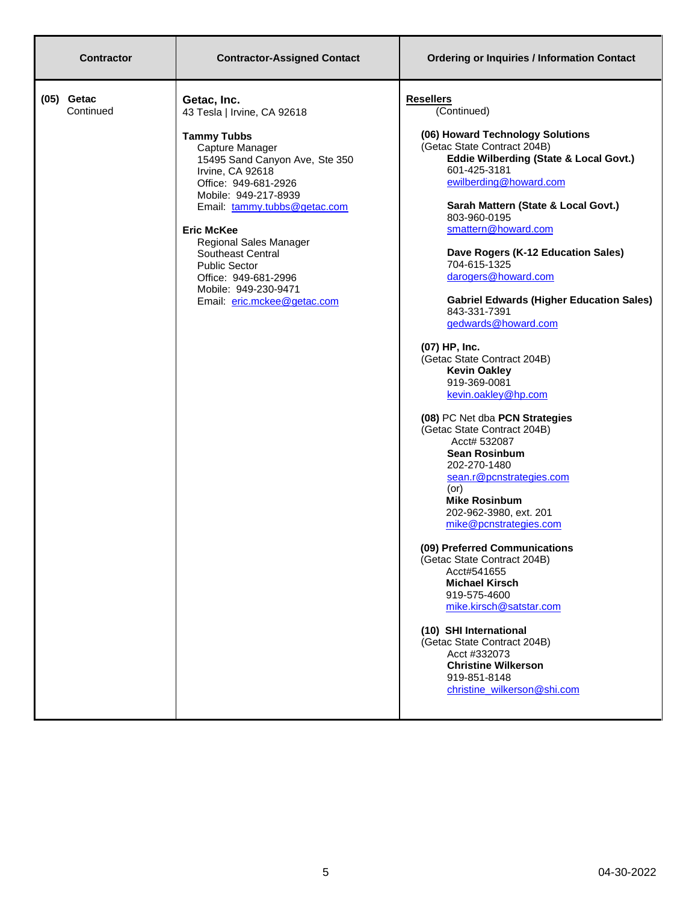| <b>Contractor</b>         | <b>Contractor-Assigned Contact</b>                                                                                                                                                                                                                                                                                                                                                                   | <b>Ordering or Inquiries / Information Contact</b>                                                                                                                                                                                                                                                                                                                                                                                                                                                                                                                                                                                                                                                                                                                                                                                                                                                                                                                                                                                                                                                          |
|---------------------------|------------------------------------------------------------------------------------------------------------------------------------------------------------------------------------------------------------------------------------------------------------------------------------------------------------------------------------------------------------------------------------------------------|-------------------------------------------------------------------------------------------------------------------------------------------------------------------------------------------------------------------------------------------------------------------------------------------------------------------------------------------------------------------------------------------------------------------------------------------------------------------------------------------------------------------------------------------------------------------------------------------------------------------------------------------------------------------------------------------------------------------------------------------------------------------------------------------------------------------------------------------------------------------------------------------------------------------------------------------------------------------------------------------------------------------------------------------------------------------------------------------------------------|
| $(05)$ Getac<br>Continued | Getac, Inc.<br>43 Tesla   Irvine, CA 92618<br><b>Tammy Tubbs</b><br>Capture Manager<br>15495 Sand Canyon Ave, Ste 350<br>Irvine, CA 92618<br>Office: 949-681-2926<br>Mobile: 949-217-8939<br>Email: tammy.tubbs@getac.com<br><b>Eric McKee</b><br>Regional Sales Manager<br>Southeast Central<br><b>Public Sector</b><br>Office: 949-681-2996<br>Mobile: 949-230-9471<br>Email: eric.mckee@getac.com | <b>Resellers</b><br>(Continued)<br>(06) Howard Technology Solutions<br>(Getac State Contract 204B)<br>Eddie Wilberding (State & Local Govt.)<br>601-425-3181<br>ewilberding@howard.com<br>Sarah Mattern (State & Local Govt.)<br>803-960-0195<br>smattern@howard.com<br>Dave Rogers (K-12 Education Sales)<br>704-615-1325<br>darogers@howard.com<br><b>Gabriel Edwards (Higher Education Sales)</b><br>843-331-7391<br>gedwards@howard.com<br>(07) HP, Inc.<br>(Getac State Contract 204B)<br><b>Kevin Oakley</b><br>919-369-0081<br>kevin.oakley@hp.com<br>(08) PC Net dba PCN Strategies<br>(Getac State Contract 204B)<br>Acct# 532087<br><b>Sean Rosinbum</b><br>202-270-1480<br>sean.r@pcnstrategies.com<br>(or)<br><b>Mike Rosinbum</b><br>202-962-3980, ext. 201<br>mike@pcnstrategies.com<br>(09) Preferred Communications<br>(Getac State Contract 204B)<br>Acct#541655<br><b>Michael Kirsch</b><br>919-575-4600<br>mike.kirsch@satstar.com<br>(10) SHI International<br>(Getac State Contract 204B)<br>Acct #332073<br><b>Christine Wilkerson</b><br>919-851-8148<br>christine wilkerson@shi.com |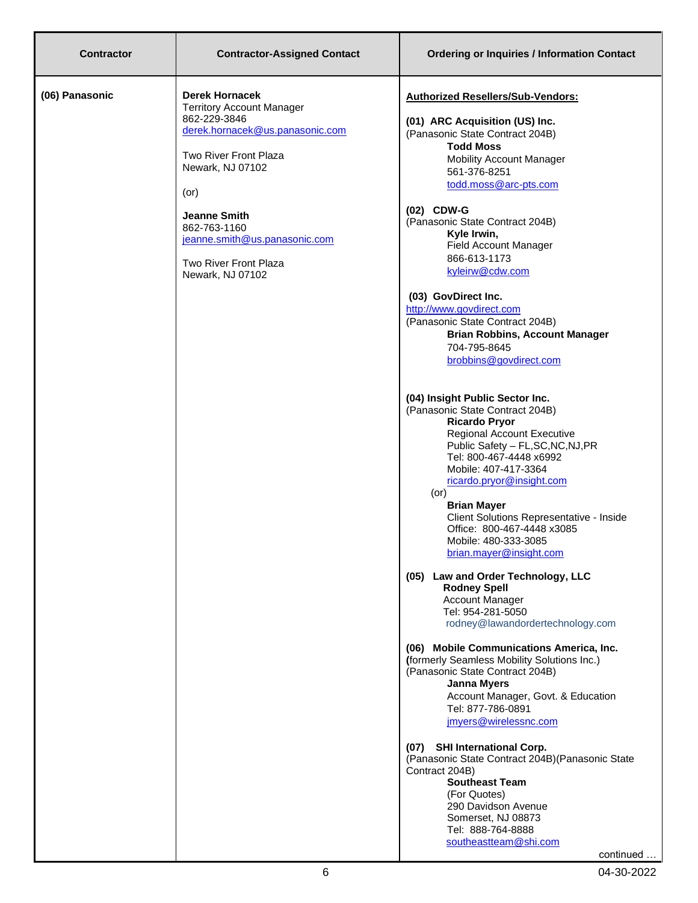| <b>Contractor</b> | <b>Contractor-Assigned Contact</b>                                                                                                                                                                                                                                                           | <b>Ordering or Inquiries / Information Contact</b>                                                                                                                                                                                                                                                                                                                                                                                                                                                                                                                                                                                                                                                                                                                                                                                                                                                                                                                                                                                                                                                                                                                                                                                                                                                                                                                                                                                                                                                                                                                             |
|-------------------|----------------------------------------------------------------------------------------------------------------------------------------------------------------------------------------------------------------------------------------------------------------------------------------------|--------------------------------------------------------------------------------------------------------------------------------------------------------------------------------------------------------------------------------------------------------------------------------------------------------------------------------------------------------------------------------------------------------------------------------------------------------------------------------------------------------------------------------------------------------------------------------------------------------------------------------------------------------------------------------------------------------------------------------------------------------------------------------------------------------------------------------------------------------------------------------------------------------------------------------------------------------------------------------------------------------------------------------------------------------------------------------------------------------------------------------------------------------------------------------------------------------------------------------------------------------------------------------------------------------------------------------------------------------------------------------------------------------------------------------------------------------------------------------------------------------------------------------------------------------------------------------|
| (06) Panasonic    | <b>Derek Hornacek</b><br><b>Territory Account Manager</b><br>862-229-3846<br>derek.hornacek@us.panasonic.com<br>Two River Front Plaza<br>Newark, NJ 07102<br>$($ or $)$<br><b>Jeanne Smith</b><br>862-763-1160<br>jeanne.smith@us.panasonic.com<br>Two River Front Plaza<br>Newark, NJ 07102 | <b>Authorized Resellers/Sub-Vendors:</b><br>(01) ARC Acquisition (US) Inc.<br>(Panasonic State Contract 204B)<br><b>Todd Moss</b><br><b>Mobility Account Manager</b><br>561-376-8251<br>todd.moss@arc-pts.com<br>(02) CDW-G<br>(Panasonic State Contract 204B)<br>Kyle Irwin,<br>Field Account Manager<br>866-613-1173<br>kyleirw@cdw.com<br>(03) GovDirect Inc.<br>http://www.govdirect.com<br>(Panasonic State Contract 204B)<br><b>Brian Robbins, Account Manager</b><br>704-795-8645<br>brobbins@govdirect.com<br>(04) Insight Public Sector Inc.<br>(Panasonic State Contract 204B)<br><b>Ricardo Pryor</b><br><b>Regional Account Executive</b><br>Public Safety - FL, SC, NC, NJ, PR<br>Tel: 800-467-4448 x6992<br>Mobile: 407-417-3364<br>ricardo.pryor@insight.com<br>$($ or $)$<br><b>Brian Mayer</b><br>Client Solutions Representative - Inside<br>Office: 800-467-4448 x3085<br>Mobile: 480-333-3085<br>brian.mayer@insight.com<br>(05) Law and Order Technology, LLC<br><b>Rodney Spell</b><br><b>Account Manager</b><br>Tel: 954-281-5050<br>rodney@lawandordertechnology.com<br>(06) Mobile Communications America, Inc.<br>(formerly Seamless Mobility Solutions Inc.)<br>(Panasonic State Contract 204B)<br><b>Janna Myers</b><br>Account Manager, Govt. & Education<br>Tel: 877-786-0891<br>jmyers@wirelessnc.com<br>(07) SHI International Corp.<br>(Panasonic State Contract 204B) (Panasonic State<br>Contract 204B)<br><b>Southeast Team</b><br>(For Quotes)<br>290 Davidson Avenue<br>Somerset, NJ 08873<br>Tel: 888-764-8888<br>southeastteam@shi.com |
|                   |                                                                                                                                                                                                                                                                                              | continued                                                                                                                                                                                                                                                                                                                                                                                                                                                                                                                                                                                                                                                                                                                                                                                                                                                                                                                                                                                                                                                                                                                                                                                                                                                                                                                                                                                                                                                                                                                                                                      |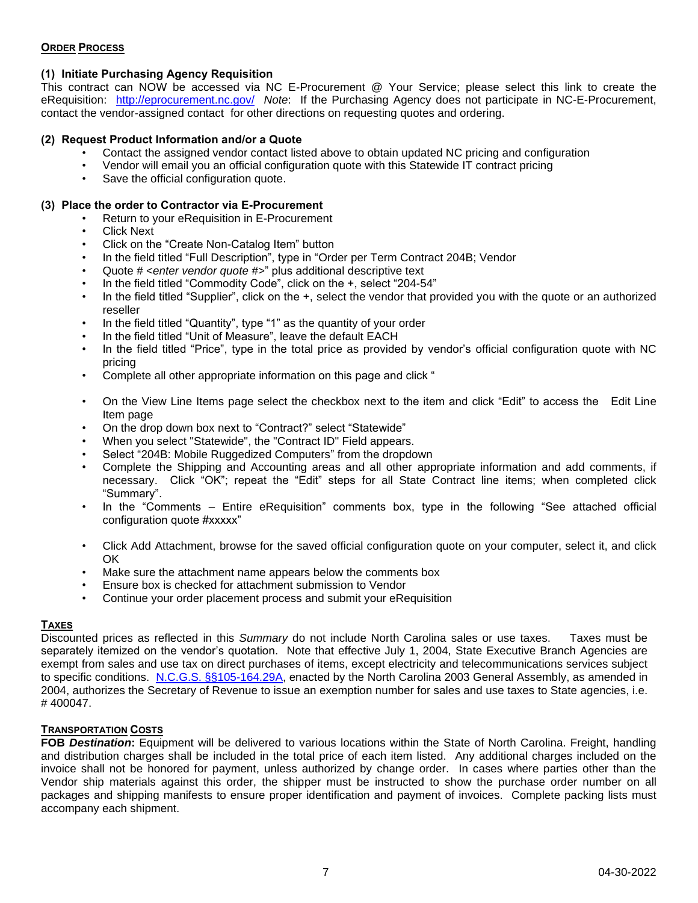### **ORDER PROCESS**

# **(1) Initiate Purchasing Agency Requisition**

This contract can NOW be accessed via NC E-Procurement @ Your Service; please select this link to create the eRequisition: <http://eprocurement.nc.gov/>*Note*: If the Purchasing Agency does not participate in NC-E-Procurement, contact the vendor-assigned contact for other directions on requesting quotes and ordering.

### **(2) Request Product Information and/or a Quote**

- Contact the assigned vendor contact listed above to obtain updated NC pricing and configuration
- Vendor will email you an official configuration quote with this Statewide IT contract pricing
- Save the official configuration quote.

### **(3) Place the order to Contractor via E-Procurement**

- Return to your eRequisition in E-Procurement
- Click Next
- Click on the "Create Non-Catalog Item" button
- In the field titled "Full Description", type in "Order per Term Contract 204B; Vendor
- Quote # *<enter vendor quote #>*" plus additional descriptive text
- In the field titled "Commodity Code", click on the +, select "204-54"
- In the field titled "Supplier", click on the +, select the vendor that provided you with the quote or an authorized reseller
- In the field titled "Quantity", type "1" as the quantity of your order
- In the field titled "Unit of Measure", leave the default EACH
- In the field titled "Price", type in the total price as provided by vendor's official configuration quote with NC pricing
- Complete all other appropriate information on this page and click "
- On the View Line Items page select the checkbox next to the item and click "Edit" to access the Edit Line Item page
- On the drop down box next to "Contract?" select "Statewide"
- When you select "Statewide", the "Contract ID" Field appears.
- Select "204B: Mobile Ruggedized Computers" from the dropdown
- Complete the Shipping and Accounting areas and all other appropriate information and add comments, if necessary. Click "OK"; repeat the "Edit" steps for all State Contract line items; when completed click "Summary".
- In the "Comments Entire eRequisition" comments box, type in the following "See attached official configuration quote #xxxxx"
- Click Add Attachment, browse for the saved official configuration quote on your computer, select it, and click OK
- Make sure the attachment name appears below the comments box
- Ensure box is checked for attachment submission to Vendor
- Continue your order placement process and submit your eRequisition

### **TAXES**

Discounted prices as reflected in this *Summary* do not include North Carolina sales or use taxes. Taxes must be separately itemized on the vendor's quotation. Note that effective July 1, 2004, State Executive Branch Agencies are exempt from sales and use tax on direct purchases of items, except electricity and telecommunications services subject to specific conditions. [N.C.G.S. §§105-164.29A,](http://www.ncleg.net/gascripts/SiteSearch/SiteSearch.asp?cx=016444635331331191208%3A2jn1cirfegg&cof=FORID%3A11&q=N.C.G.S.+%A7%A7105-164.29A&sa=Go) enacted by the North Carolina 2003 General Assembly, as amended in 2004, authorizes the Secretary of Revenue to issue an exemption number for sales and use taxes to State agencies, i.e. # 400047.

### **TRANSPORTATION COSTS**

**FOB** *Destination***:** Equipment will be delivered to various locations within the State of North Carolina. Freight, handling and distribution charges shall be included in the total price of each item listed. Any additional charges included on the invoice shall not be honored for payment, unless authorized by change order. In cases where parties other than the Vendor ship materials against this order, the shipper must be instructed to show the purchase order number on all packages and shipping manifests to ensure proper identification and payment of invoices. Complete packing lists must accompany each shipment.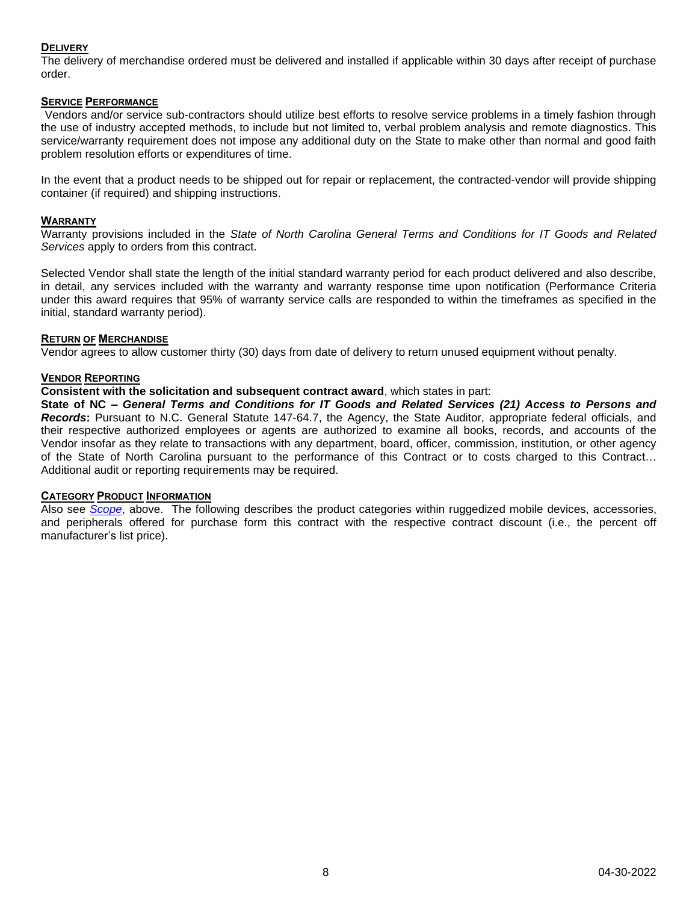### **DELIVERY**

The delivery of merchandise ordered must be delivered and installed if applicable within 30 days after receipt of purchase order.

### **SERVICE PERFORMANCE**

Vendors and/or service sub-contractors should utilize best efforts to resolve service problems in a timely fashion through the use of industry accepted methods, to include but not limited to, verbal problem analysis and remote diagnostics. This service/warranty requirement does not impose any additional duty on the State to make other than normal and good faith problem resolution efforts or expenditures of time.

In the event that a product needs to be shipped out for repair or replacement, the contracted-vendor will provide shipping container (if required) and shipping instructions.

#### **WARRANTY**

Warranty provisions included in the *State of North Carolina General Terms and Conditions for IT Goods and Related Services* apply to orders from this contract.

Selected Vendor shall state the length of the initial standard warranty period for each product delivered and also describe, in detail, any services included with the warranty and warranty response time upon notification (Performance Criteria under this award requires that 95% of warranty service calls are responded to within the timeframes as specified in the initial, standard warranty period).

#### **RETURN OF MERCHANDISE**

Vendor agrees to allow customer thirty (30) days from date of delivery to return unused equipment without penalty.

#### **VENDOR REPORTING**

#### **Consistent with the solicitation and subsequent contract award**, which states in part:

**State of NC –** *General Terms and Conditions for IT Goods and Related Services (21) Access to Persons and Records***:** Pursuant to N.C. General Statute 147-64.7, the Agency, the State Auditor, appropriate federal officials, and their respective authorized employees or agents are authorized to examine all books, records, and accounts of the Vendor insofar as they relate to transactions with any department, board, officer, commission, institution, or other agency of the State of North Carolina pursuant to the performance of this Contract or to costs charged to this Contract… Additional audit or reporting requirements may be required.

#### **CATEGORY PRODUCT INFORMATION**

Also see *[Scope](#page-0-0)*, above. The following describes the product categories within ruggedized mobile devices, accessories, and peripherals offered for purchase form this contract with the respective contract discount (i.e., the percent off manufacturer's list price).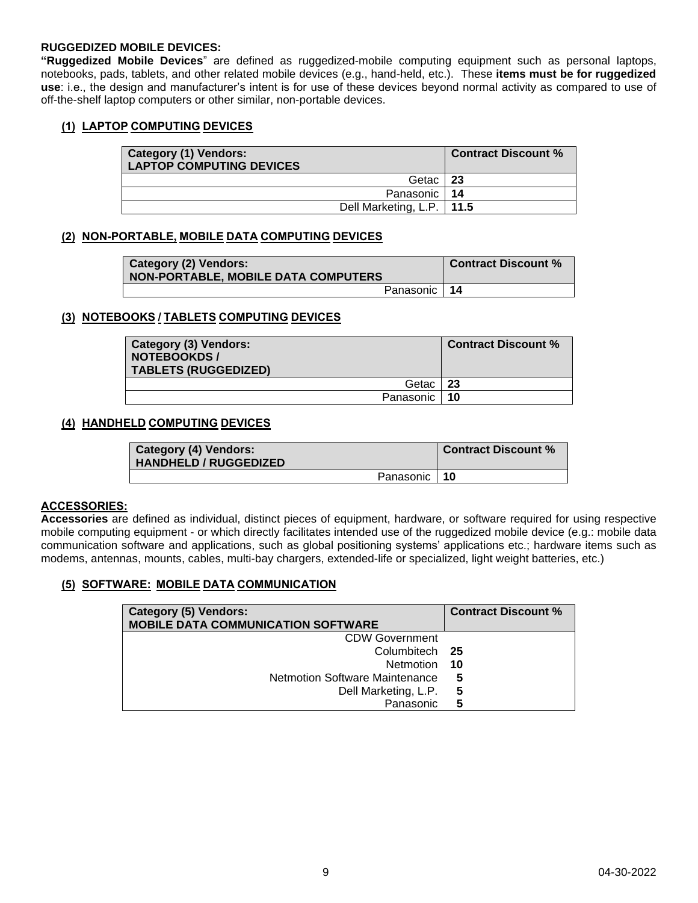### **RUGGEDIZED MOBILE DEVICES:**

**"Ruggedized Mobile Devices**" are defined as ruggedized-mobile computing equipment such as personal laptops, notebooks, pads, tablets, and other related mobile devices (e.g., hand-held, etc.). These **items must be for ruggedized use**: i.e., the design and manufacturer's intent is for use of these devices beyond normal activity as compared to use of off-the-shelf laptop computers or other similar, non-portable devices.

### <span id="page-8-0"></span>**(1) LAPTOP COMPUTING DEVICES**

| <b>Category (1) Vendors:</b><br><b>LAPTOP COMPUTING DEVICES</b> | <b>Contract Discount %</b> |
|-----------------------------------------------------------------|----------------------------|
| Getac I                                                         | 23                         |
| Panasonic   14                                                  |                            |
| Dell Marketing, L.P.   11.5                                     |                            |

### **(2) NON-PORTABLE, MOBILE DATA COMPUTING DEVICES**

| <b>Category (2) Vendors:</b><br>NON-PORTABLE, MOBILE DATA COMPUTERS | <b>Contract Discount %</b> |
|---------------------------------------------------------------------|----------------------------|
| Panasonic   14                                                      |                            |

### **(3) NOTEBOOKS / TABLETS COMPUTING DEVICES**

| <b>Category (3) Vendors:</b><br>NOTEBOOKDS /<br><b>TABLETS (RUGGEDIZED)</b> |                | <b>Contract Discount %</b> |
|-----------------------------------------------------------------------------|----------------|----------------------------|
|                                                                             | Getac   23     |                            |
|                                                                             | Panasonic   10 |                            |

### **(4) HANDHELD COMPUTING DEVICES**

| <b>Category (4) Vendors:</b><br><b>HANDHELD / RUGGEDIZED</b> |                | Contract Discount % |
|--------------------------------------------------------------|----------------|---------------------|
|                                                              | Panasonic   10 |                     |

### **ACCESSORIES:**

**Accessories** are defined as individual, distinct pieces of equipment, hardware, or software required for using respective mobile computing equipment - or which directly facilitates intended use of the ruggedized mobile device (e.g.: mobile data communication software and applications, such as global positioning systems' applications etc.; hardware items such as modems, antennas, mounts, cables, multi-bay chargers, extended-life or specialized, light weight batteries, etc.)

### **(5) SOFTWARE: MOBILE DATA COMMUNICATION**

| Category (5) Vendors:<br><b>MOBILE DATA COMMUNICATION SOFTWARE</b> | <b>Contract Discount %</b> |
|--------------------------------------------------------------------|----------------------------|
| <b>CDW Government</b>                                              |                            |
|                                                                    |                            |
| Columbitech 25                                                     |                            |
| Netmotion 10                                                       |                            |
| Netmotion Software Maintenance                                     | 5                          |
| Dell Marketing, L.P.                                               | 5                          |
| Panasonic                                                          | 5                          |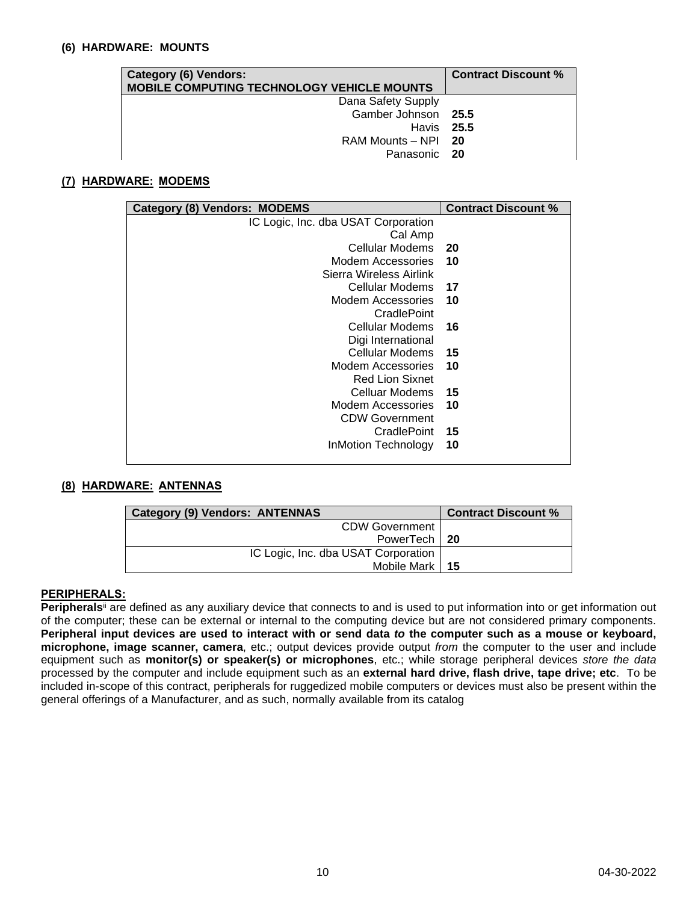### **(6) HARDWARE: MOUNTS**

| <b>Category (6) Vendors:</b>                      | <b>Contract Discount %</b> |
|---------------------------------------------------|----------------------------|
| <b>MOBILE COMPUTING TECHNOLOGY VEHICLE MOUNTS</b> |                            |
| Dana Safety Supply                                |                            |
| Gamber Johnson 25.5                               |                            |
| Havis 25.5                                        |                            |
| RAM Mounts - NPI 20                               |                            |
| Panasonic 20                                      |                            |

### **(7) HARDWARE: MODEMS**

| <b>Category (8) Vendors: MODEMS</b> | <b>Contract Discount %</b> |
|-------------------------------------|----------------------------|
| IC Logic, Inc. dba USAT Corporation |                            |
| Cal Amp                             |                            |
| Cellular Modems                     | - 20                       |
| <b>Modem Accessories</b>            | 10                         |
| Sierra Wireless Airlink             |                            |
| Cellular Modems                     | 17                         |
| Modem Accessories                   | 10                         |
| CradlePoint                         |                            |
| Cellular Modems                     | -16                        |
| Digi International                  |                            |
| Cellular Modems                     | 15                         |
| Modem Accessories                   | 10                         |
| <b>Red Lion Sixnet</b>              |                            |
| Celluar Modems                      | 15                         |
| Modem Accessories                   | 10                         |
| <b>CDW Government</b>               |                            |
| CradlePoint                         | 15                         |
| InMotion Technology                 | 10                         |
|                                     |                            |

### **(8) HARDWARE: ANTENNAS**

| <b>Category (9) Vendors: ANTENNAS</b> | <b>Contract Discount %</b> |
|---------------------------------------|----------------------------|
| <b>CDW Government</b>                 |                            |
| PowerTech   20                        |                            |
| IC Logic, Inc. dba USAT Corporation   |                            |
| Mobile Mark 15                        |                            |

### **PERIPHERALS:**

Peripherals<sup>ii</sup> are defined as any auxiliary device that connects to and is used to put information into or get information out of the computer; these can be external or internal to the computing device but are not considered primary components. **Peripheral input devices are used to interact with or send data** *to* **the computer such as a mouse or keyboard, microphone, image scanner, camera**, etc.; output devices provide output *from* the computer to the user and include equipment such as **monitor(s) or speaker(s) or microphones**, etc.; while storage peripheral devices *store the data* processed by the computer and include equipment such as an **external hard drive, flash drive, tape drive; etc**. To be included in-scope of this contract, peripherals for ruggedized mobile computers or devices must also be present within the general offerings of a Manufacturer, and as such, normally available from its catalog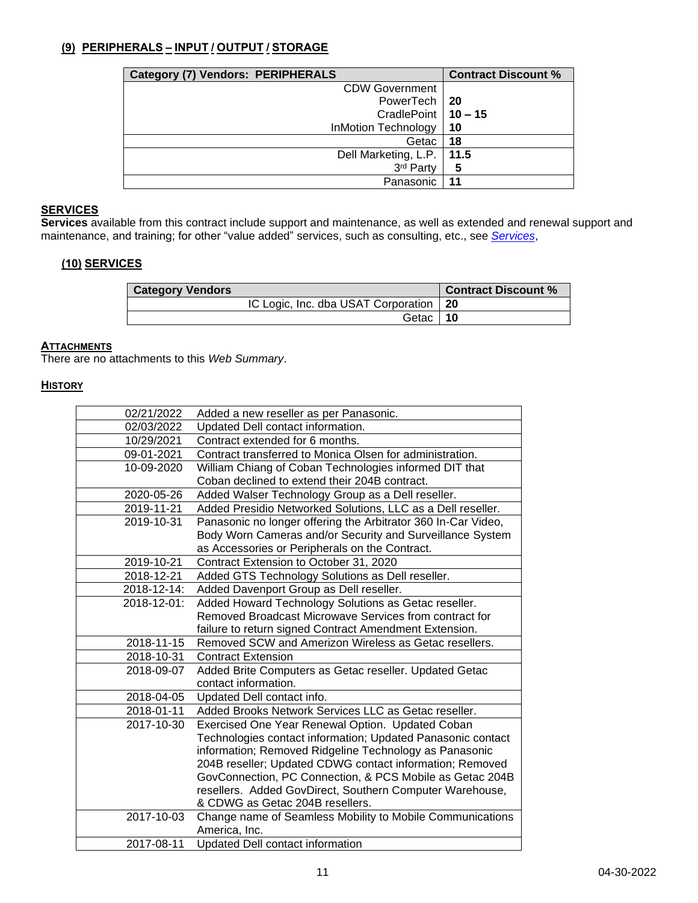# **(9) PERIPHERALS – INPUT / OUTPUT / STORAGE**

| <b>Category (7) Vendors: PERIPHERALS</b> | <b>Contract Discount %</b> |
|------------------------------------------|----------------------------|
| <b>CDW Government</b>                    |                            |
| PowerTech   20                           |                            |
| CradlePoint   10 - 15                    |                            |
| <b>InMotion Technology</b>               | 10                         |
| Getac                                    | 18                         |
| Dell Marketing, L.P.                     | 11.5                       |
| 3rd Party                                | 5                          |
| Panasonic                                |                            |

# **SERVICES**

**Services** available from this contract include support and maintenance, as well as extended and renewal support and maintenance, and training; for other "value added" services, such as consulting, etc., see *Services*,

# **(10) SERVICES**

| <b>Category Vendors</b>                  | <b>Contract Discount %</b> |
|------------------------------------------|----------------------------|
| IC Logic, Inc. dba USAT Corporation   20 |                            |
| Getac   10                               |                            |

# **ATTACHMENTS**

There are no attachments to this *Web Summary*.

### **HISTORY**

| 02/21/2022  | Added a new reseller as per Panasonic.                        |
|-------------|---------------------------------------------------------------|
| 02/03/2022  | Updated Dell contact information.                             |
| 10/29/2021  | Contract extended for 6 months.                               |
| 09-01-2021  | Contract transferred to Monica Olsen for administration.      |
| 10-09-2020  | William Chiang of Coban Technologies informed DIT that        |
|             | Coban declined to extend their 204B contract.                 |
| 2020-05-26  | Added Walser Technology Group as a Dell reseller.             |
| 2019-11-21  | Added Presidio Networked Solutions, LLC as a Dell reseller.   |
| 2019-10-31  | Panasonic no longer offering the Arbitrator 360 In-Car Video, |
|             | Body Worn Cameras and/or Security and Surveillance System     |
|             | as Accessories or Peripherals on the Contract.                |
| 2019-10-21  | Contract Extension to October 31, 2020                        |
| 2018-12-21  | Added GTS Technology Solutions as Dell reseller.              |
| 2018-12-14: | Added Davenport Group as Dell reseller.                       |
| 2018-12-01: | Added Howard Technology Solutions as Getac reseller.          |
|             | Removed Broadcast Microwave Services from contract for        |
|             | failure to return signed Contract Amendment Extension.        |
| 2018-11-15  | Removed SCW and Amerizon Wireless as Getac resellers.         |
| 2018-10-31  | <b>Contract Extension</b>                                     |
| 2018-09-07  | Added Brite Computers as Getac reseller. Updated Getac        |
|             | contact information.                                          |
| 2018-04-05  | Updated Dell contact info.                                    |
| 2018-01-11  | Added Brooks Network Services LLC as Getac reseller.          |
| 2017-10-30  | Exercised One Year Renewal Option. Updated Coban              |
|             | Technologies contact information; Updated Panasonic contact   |
|             | information; Removed Ridgeline Technology as Panasonic        |
|             | 204B reseller; Updated CDWG contact information; Removed      |
|             | GovConnection, PC Connection, & PCS Mobile as Getac 204B      |
|             | resellers. Added GovDirect, Southern Computer Warehouse,      |
|             | & CDWG as Getac 204B resellers.                               |
| 2017-10-03  | Change name of Seamless Mobility to Mobile Communications     |
|             | America, Inc.                                                 |
| 2017-08-11  | Updated Dell contact information                              |